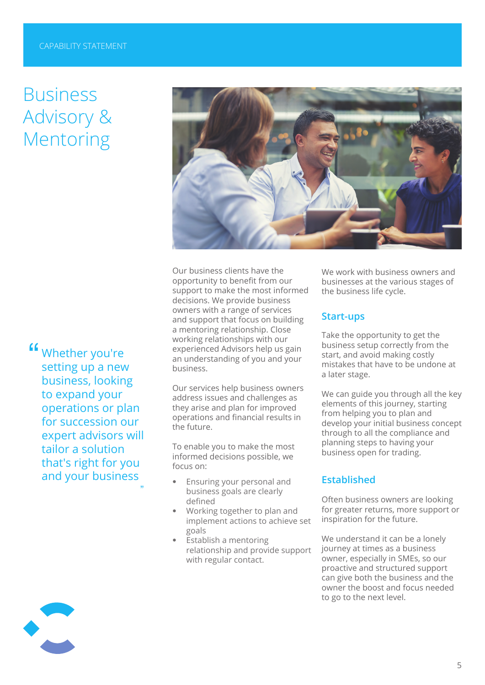# Business Advisory & Mentoring

**"** Whether you're setting up a new setting up a new business, looking to expand your operations or plan for succession our expert advisors will tailor a solution that's right for you and your business **Established**

"



Our business clients have the opportunity to benefit from our support to make the most informed decisions. We provide business owners with a range of services and support that focus on building a mentoring relationship. Close working relationships with our experienced Advisors help us gain an understanding of you and your business.

Our services help business owners address issues and challenges as they arise and plan for improved operations and financial results in the future.

To enable you to make the most informed decisions possible, we focus on:

- Ensuring your personal and business goals are clearly defined
- Working together to plan and implement actions to achieve set goals
- Establish a mentoring relationship and provide support with regular contact.

We work with business owners and businesses at the various stages of the business life cycle.

### **Start-ups**

Take the opportunity to get the business setup correctly from the start, and avoid making costly mistakes that have to be undone at a later stage.

We can guide you through all the key elements of this journey, starting from helping you to plan and develop your initial business concept through to all the compliance and planning steps to having your business open for trading.

Often business owners are looking for greater returns, more support or inspiration for the future.

We understand it can be a lonely journey at times as a business owner, especially in SMEs, so our proactive and structured support can give both the business and the owner the boost and focus needed to go to the next level.